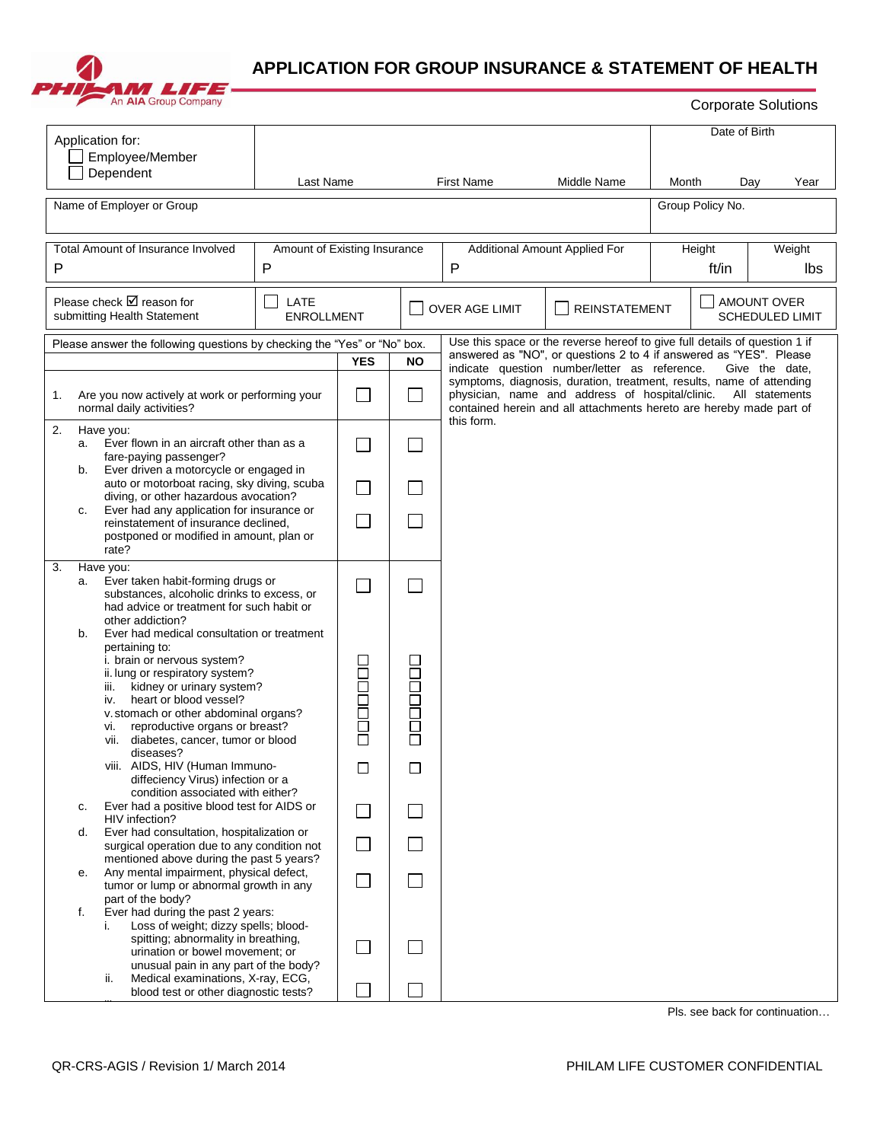

## **APPLICATION FOR GROUP INSURANCE & STATEMENT OF HEALTH**

|                                                                            | An AIA Group Company                                                                                                                                                                                                                                                  |                              |                          |           |                                                                                                                                                        |                                                                                                                                                  |                                              |                 | <b>Corporate Solutions</b>     |  |  |  |
|----------------------------------------------------------------------------|-----------------------------------------------------------------------------------------------------------------------------------------------------------------------------------------------------------------------------------------------------------------------|------------------------------|--------------------------|-----------|--------------------------------------------------------------------------------------------------------------------------------------------------------|--------------------------------------------------------------------------------------------------------------------------------------------------|----------------------------------------------|-----------------|--------------------------------|--|--|--|
| Application for:<br>Employee/Member<br>Dependent                           |                                                                                                                                                                                                                                                                       |                              |                          |           |                                                                                                                                                        |                                                                                                                                                  | Date of Birth                                |                 |                                |  |  |  |
| Last Name<br>Name of Employer or Group                                     |                                                                                                                                                                                                                                                                       | <b>First Name</b>            |                          |           | Middle Name                                                                                                                                            | Month                                                                                                                                            | Day<br>Group Policy No.                      | Year            |                                |  |  |  |
|                                                                            |                                                                                                                                                                                                                                                                       |                              |                          |           |                                                                                                                                                        |                                                                                                                                                  |                                              |                 |                                |  |  |  |
| <b>Total Amount of Insurance Involved</b><br>P<br>Ρ                        |                                                                                                                                                                                                                                                                       | Amount of Existing Insurance |                          |           | Additional Amount Applied For<br>$\mathsf{P}$                                                                                                          |                                                                                                                                                  |                                              | Height<br>ft/in | Weight<br>lbs                  |  |  |  |
| Please check $\boxtimes$ reason for<br>LATE<br>submitting Health Statement |                                                                                                                                                                                                                                                                       | <b>ENROLLMENT</b>            |                          |           | OVER AGE LIMIT<br><b>REINSTATEMENT</b>                                                                                                                 |                                                                                                                                                  | <b>AMOUNT OVER</b><br><b>SCHEDULED LIMIT</b> |                 |                                |  |  |  |
| Please answer the following questions by checking the "Yes" or "No" box.   |                                                                                                                                                                                                                                                                       |                              |                          |           |                                                                                                                                                        | Use this space or the reverse hereof to give full details of question 1 if<br>answered as "NO", or questions 2 to 4 if answered as "YES". Please |                                              |                 |                                |  |  |  |
|                                                                            |                                                                                                                                                                                                                                                                       |                              | <b>YES</b>               | <b>NO</b> | indicate question number/letter as reference.<br>Give the date,<br>symptoms, diagnosis, duration, treatment, results, name of attending                |                                                                                                                                                  |                                              |                 |                                |  |  |  |
| 1.                                                                         | Are you now actively at work or performing your<br>normal daily activities?                                                                                                                                                                                           |                              |                          |           | physician, name and address of hospital/clinic.<br>All statements<br>contained herein and all attachments hereto are hereby made part of<br>this form. |                                                                                                                                                  |                                              |                 |                                |  |  |  |
| 2.<br>a.                                                                   | Have you:<br>Ever flown in an aircraft other than as a<br>fare-paying passenger?                                                                                                                                                                                      |                              |                          |           |                                                                                                                                                        |                                                                                                                                                  |                                              |                 |                                |  |  |  |
| b.                                                                         | Ever driven a motorcycle or engaged in<br>auto or motorboat racing, sky diving, scuba<br>diving, or other hazardous avocation?<br>Ever had any application for insurance or<br>c.<br>reinstatement of insurance declined,<br>postponed or modified in amount, plan or |                              |                          |           |                                                                                                                                                        |                                                                                                                                                  |                                              |                 |                                |  |  |  |
|                                                                            |                                                                                                                                                                                                                                                                       |                              | $\overline{\phantom{a}}$ |           |                                                                                                                                                        |                                                                                                                                                  |                                              |                 |                                |  |  |  |
| 3.                                                                         | rate?<br>Have you:                                                                                                                                                                                                                                                    |                              |                          |           |                                                                                                                                                        |                                                                                                                                                  |                                              |                 |                                |  |  |  |
| a.                                                                         | Ever taken habit-forming drugs or<br>substances, alcoholic drinks to excess, or<br>had advice or treatment for such habit or<br>other addiction?                                                                                                                      |                              | L                        |           |                                                                                                                                                        |                                                                                                                                                  |                                              |                 |                                |  |  |  |
| b.                                                                         | Ever had medical consultation or treatment<br>pertaining to:                                                                                                                                                                                                          |                              |                          |           |                                                                                                                                                        |                                                                                                                                                  |                                              |                 |                                |  |  |  |
|                                                                            | i. brain or nervous system?<br>ii. lung or respiratory system?<br>kidney or urinary system?<br>iii.<br>heart or blood vessel?<br>iv.                                                                                                                                  |                              |                          | 200E      |                                                                                                                                                        |                                                                                                                                                  |                                              |                 |                                |  |  |  |
|                                                                            |                                                                                                                                                                                                                                                                       |                              |                          |           |                                                                                                                                                        |                                                                                                                                                  |                                              |                 |                                |  |  |  |
|                                                                            | v. stomach or other abdominal organs?<br>reproductive organs or breast?<br>vi.<br>vii. diabetes, cancer, tumor or blood                                                                                                                                               |                              | <b>COODOOL</b>           |           |                                                                                                                                                        |                                                                                                                                                  |                                              |                 |                                |  |  |  |
|                                                                            | diseases?<br>viii. AIDS, HIV (Human Immuno-                                                                                                                                                                                                                           |                              | $\Box$                   | $\Box$    |                                                                                                                                                        |                                                                                                                                                  |                                              |                 |                                |  |  |  |
| c.                                                                         | diffeciency Virus) infection or a<br>condition associated with either?<br>Ever had a positive blood test for AIDS or                                                                                                                                                  |                              | L                        |           |                                                                                                                                                        |                                                                                                                                                  |                                              |                 |                                |  |  |  |
| d.                                                                         | HIV infection?<br>Ever had consultation, hospitalization or                                                                                                                                                                                                           |                              |                          |           |                                                                                                                                                        |                                                                                                                                                  |                                              |                 |                                |  |  |  |
|                                                                            | surgical operation due to any condition not<br>mentioned above during the past 5 years?                                                                                                                                                                               |                              |                          |           |                                                                                                                                                        |                                                                                                                                                  |                                              |                 |                                |  |  |  |
| е.                                                                         | Any mental impairment, physical defect,<br>tumor or lump or abnormal growth in any<br>part of the body?                                                                                                                                                               |                              |                          |           |                                                                                                                                                        |                                                                                                                                                  |                                              |                 |                                |  |  |  |
| f.                                                                         | Ever had during the past 2 years:<br>Loss of weight; dizzy spells; blood-<br>i.<br>spitting; abnormality in breathing,<br>urination or bowel movement; or<br>unusual pain in any part of the body?                                                                    |                              |                          |           |                                                                                                                                                        |                                                                                                                                                  |                                              |                 |                                |  |  |  |
|                                                                            | Medical examinations, X-ray, ECG,<br>ii.<br>blood test or other diagnostic tests?                                                                                                                                                                                     |                              |                          |           |                                                                                                                                                        |                                                                                                                                                  |                                              |                 |                                |  |  |  |
|                                                                            |                                                                                                                                                                                                                                                                       |                              |                          |           |                                                                                                                                                        |                                                                                                                                                  |                                              |                 | Pls. see back for continuation |  |  |  |